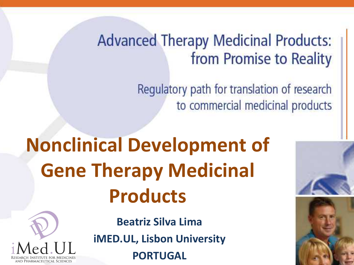#### **Advanced Therapy Medicinal Products:** from Promise to Reality

Regulatory path for translation of research to commercial medicinal products

## **Nonclinical Development of Gene Therapy Medicinal Products**



**BRIGHTON, OCTOBER 2011 1999 Beatriz Silva Lima iMED.UL, Lisbon University**

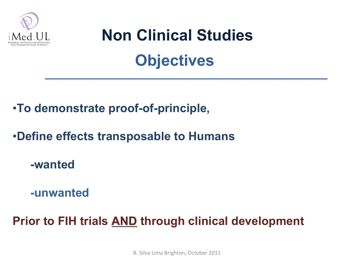

### **Non Clinical Studies Objectives**

#### •**To demonstrate proof-of-principle,**

#### •**Define effects transposable to Humans**

**-wanted**

**-unwanted**

**Prior to FIH trials AND through clinical development**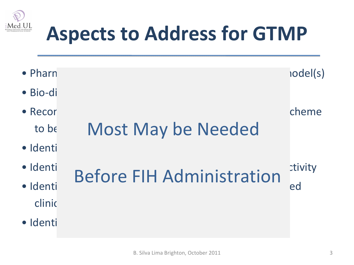

### **Aspects to Address for GTMP**

• Pharm and the concept of concept of concept of concept of concept of concept of concept of concept of concept of concept of concept of concept of concept of concept of concept of concept of concept of concept of concept  $\bullet$  Bio-distribution of the GTMP (and components)  $\bullet$ • Recor $\bullet$  Recor $\bullet$ to be Most May be Needed  $\bullet$  Identi • Identification of potential target organisativity • Identification of individual of the proposed in the proposed in the proposed in the proposed in the proposed in the proposed in the proposed in the proposed in the proposed in the proposed in the proposed in the proposed clinic  $\bullet$  Identi Before FIH Administration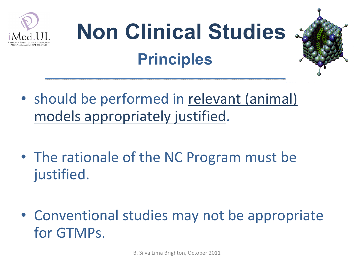

## **Non Clinical Studies Principles**

- should be performed in relevant (animal) models appropriately justified.
- The rationale of the NC Program must be justified.
- Conventional studies may not be appropriate for GTMPs.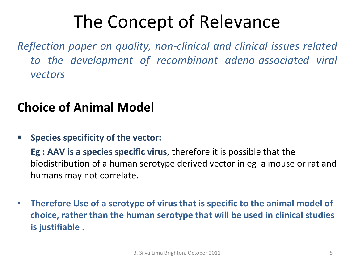### The Concept of Relevance

*Reflection paper on quality, non-clinical and clinical issues related to the development of recombinant adeno-associated viral vectors*

#### **Choice of Animal Model**

**Species specificity of the vector:** 

**Eg : AAV is a species specific virus**, therefore it is possible that the biodistribution of a human serotype derived vector in eg a mouse or rat and humans may not correlate.

• **Therefore Use of a serotype of virus that is specific to the animal model of choice, rather than the human serotype that will be used in clinical studies is justifiable .**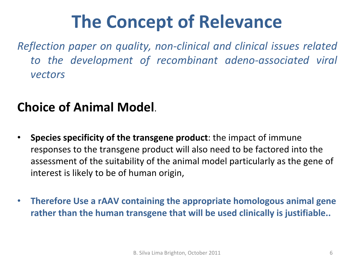### **The Concept of Relevance**

*Reflection paper on quality, non-clinical and clinical issues related to the development of recombinant adeno-associated viral vectors*

#### **Choice of Animal Model**.

- **Species specificity of the transgene product**: the impact of immune responses to the transgene product will also need to be factored into the assessment of the suitability of the animal model particularly as the gene of interest is likely to be of human origin,
- **Therefore Use a rAAV containing the appropriate homologous animal gene rather than the human transgene that will be used clinically is justifiable..**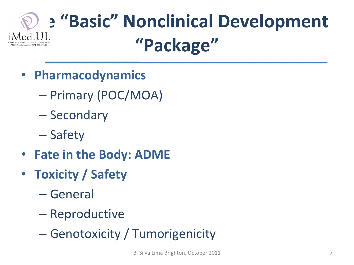### **The "Basic" Nonclinical Development "Package"**

- **Pharmacodynamics**
	- Primary (POC/MOA)
	- Secondary
	- Safety
- **Fate in the Body: ADME**
- **Toxicity / Safety**
	- General
	- Reproductive
	- Genotoxicity / Tumorigenicity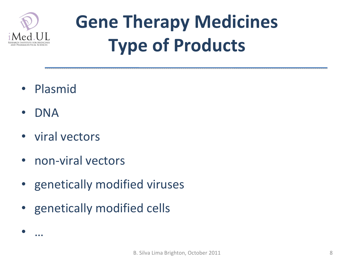

### **Gene Therapy Medicines Type of Products**

- Plasmid
- DNA
- viral vectors
- non-viral vectors
- genetically modified viruses
- genetically modified cells

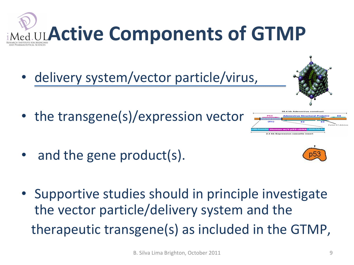# **Active Components of GTMP**

- delivery system/vector particle/virus,
- the transgene(s)/expression vector
- and the gene product(s).
- Supportive studies should in principle investigate the vector particle/delivery system and the therapeutic transgene(s) as included in the GTMP,



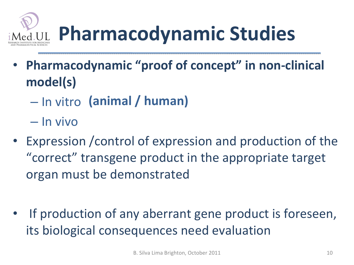

- **Pharmacodynamic "proof of concept" in non-clinical model(s)**
	- In vitro **(animal / human)**
	- In vivo
- Expression /control of expression and production of the "correct" transgene product in the appropriate target organ must be demonstrated
- If production of any aberrant gene product is foreseen, its biological consequences need evaluation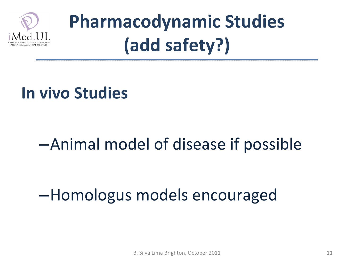

### **Pharmacodynamic Studies (add safety?)**

#### **In vivo Studies**

#### –Animal model of disease if possible

#### –Homologus models encouraged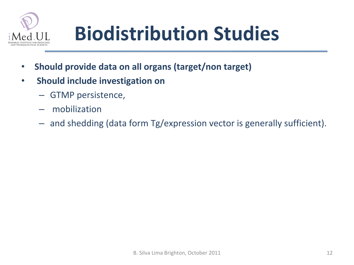

## **Biodistribution Studies**

- **Should provide data on all organs (target/non target)**
- **Should include investigation on**
	- GTMP persistence,
	- mobilization
	- and shedding (data form Tg/expression vector is generally sufficient).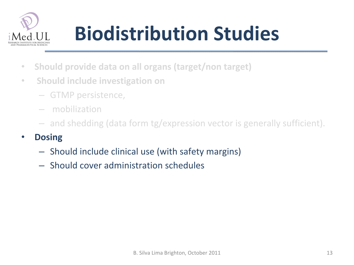

## **Biodistribution Studies**

- **Should provide data on all organs (target/non target)**
- **Should include investigation on**
	- GTMP persistence,
	- mobilization
	- and shedding (data form tg/expression vector is generally sufficient).

#### • **Dosing**

- Should include clinical use (with safety margins)
- Should cover administration schedules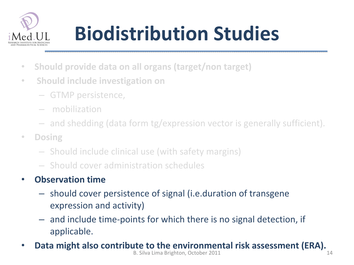

## **Biodistribution Studies**

- **Should provide data on all organs (target/non target)**
- **Should include investigation on**
	- GTMP persistence,
	- mobilization
	- and shedding (data form tg/expression vector is generally sufficient).
- **Dosing**
	- Should include clinical use (with safety margins)
	- Should cover administration schedules

#### • **Observation time**

- should cover persistence of signal (i.e.duration of transgene expression and activity)
- and include time-points for which there is no signal detection, if applicable.
- **Data might also contribute to the environmental risk assessment (ERA).**<br>B. Silva Lima Brighton, October 2011 B. Silva Lima Brighton, October 2011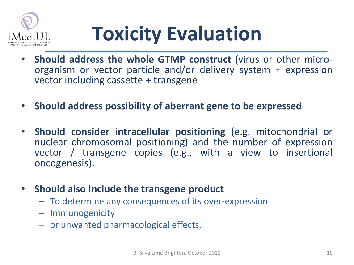

## **Toxicity Evaluation**

- **Should address the whole GTMP construct** (virus or other microorganism or vector particle and/or delivery system + expression vector including cassette + transgene
- **Should address possibility of aberrant gene to be expressed**
- **Should consider intracellular positioning** (e.g. mitochondrial or nuclear chromosomal positioning) and the number of expression vector / transgene copies (e.g., with a view to insertional oncogenesis).
- **Should also Include the transgene product**
	- To determine any consequences of its over-expression
	- Immunogenicity
	- or unwanted pharmacological effects.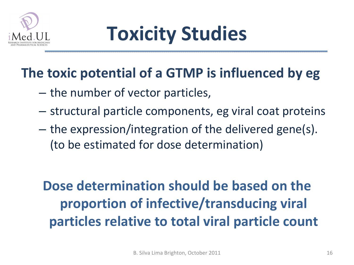

### **Toxicity Studies**

#### **The toxic potential of a GTMP is influenced by eg**

- the number of vector particles,
- structural particle components, eg viral coat proteins
- the expression/integration of the delivered gene(s). (to be estimated for dose determination)

**Dose determination should be based on the proportion of infective/transducing viral particles relative to total viral particle count**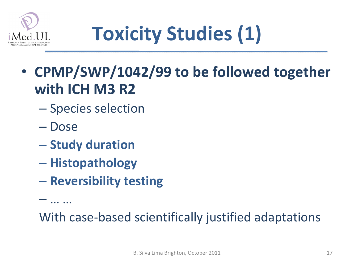

## **Toxicity Studies (1)**

- **CPMP/SWP/1042/99 to be followed together with ICH M3 R2**
	- Species selection
	- Dose

– … …

- **Study duration**
- **Histopathology**
- **Reversibility testing**

With case-based scientifically justified adaptations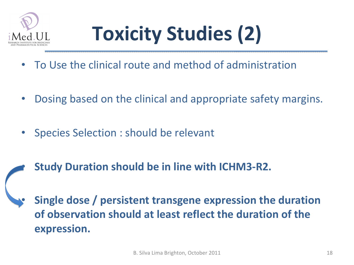

## **Toxicity Studies (2)**

- To Use the clinical route and method of administration
- Dosing based on the clinical and appropriate safety margins.
- Species Selection : should be relevant
	- **Study Duration should be in line with ICHM3-R2.**

• **Single dose / persistent transgene expression the duration of observation should at least reflect the duration of the expression.**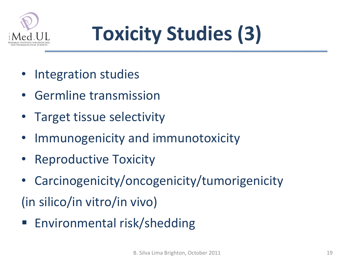

## **Toxicity Studies (3)**

- Integration studies
- Germline transmission
- Target tissue selectivity
- Immunogenicity and immunotoxicity
- Reproductive Toxicity
- Carcinogenicity/oncogenicity/tumorigenicity
- (in silico/in vitro/in vivo)
- Environmental risk/shedding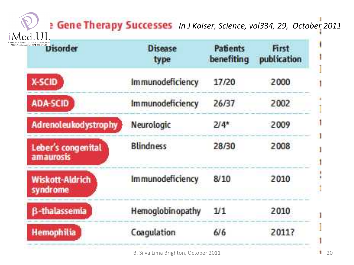#### *I* Gene Therapy Successes In J Kaiser, Science, vol334, 29, October 2011  $II$

| RESEARCH INSTITUTE FOR MEDICINES   | <b>Disease</b><br>type  | Patients<br>benefiting | First<br>publication |
|------------------------------------|-------------------------|------------------------|----------------------|
| X-SCID                             | <b>Immunodeficiency</b> | 17/20                  | 2000                 |
| <b>ADA-SCID</b>                    | <i>Immunodeficiency</i> | 26/37                  | 2002                 |
| <b>Adrenoleukodystrophy</b>        | Neurologic              | $2/4*$                 | 2009                 |
| Leber's congenital<br>amaurosis    | <b>Blindness</b>        | 28/30                  | 2008                 |
| <b>Wiskott-Aldrich</b><br>syndrome | Immunodeficiency        | 8/10                   | 2010                 |
| <b>B-thalassemia</b>               | Hemoglobinopathy        | 1/1                    | 2010                 |
| Hemophilia                         | Coaqulation             | 6/6                    | 20117                |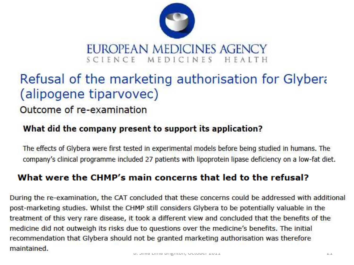

#### Refusal of the marketing authorisation for Glybera (alipogene tiparvovec)

#### Outcome of re-examination

#### What did the company present to support its application?

The effects of Glybera were first tested in experimental models before being studied in humans. The company's clinical programme included 27 patients with lipoprotein lipase deficiency on a low-fat diet.

#### What were the CHMP's main concerns that led to the refusal?

During the re-examination, the CAT concluded that these concerns could be addressed with additional post-marketing studies. Whilst the CHMP still considers Glybera to be potentially valuable in the treatment of this very rare disease, it took a different view and concluded that the benefits of the medicine did not outweigh its risks due to questions over the medicine's benefits. The initial recommendation that Glybera should not be granted marketing authorisation was therefore maintained.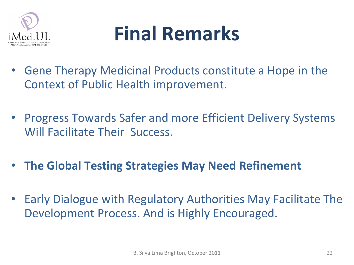

### **Final Remarks**

- Gene Therapy Medicinal Products constitute a Hope in the Context of Public Health improvement.
- Progress Towards Safer and more Efficient Delivery Systems Will Facilitate Their Success.
- **The Global Testing Strategies May Need Refinement**
- Early Dialogue with Regulatory Authorities May Facilitate The Development Process. And is Highly Encouraged.